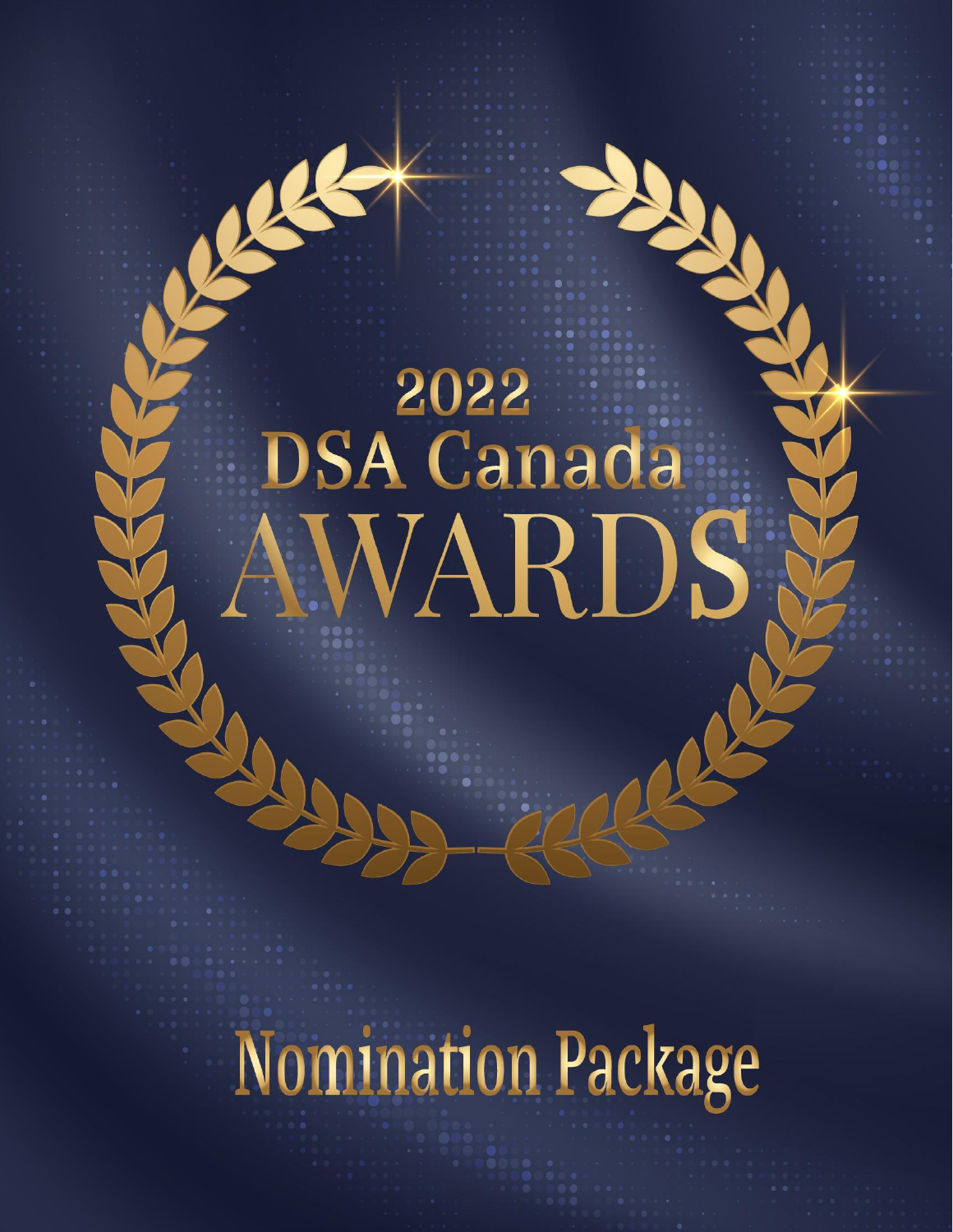# 2022<br>DSA Canada VARD

18

*Nomination Package*

# Nomination Package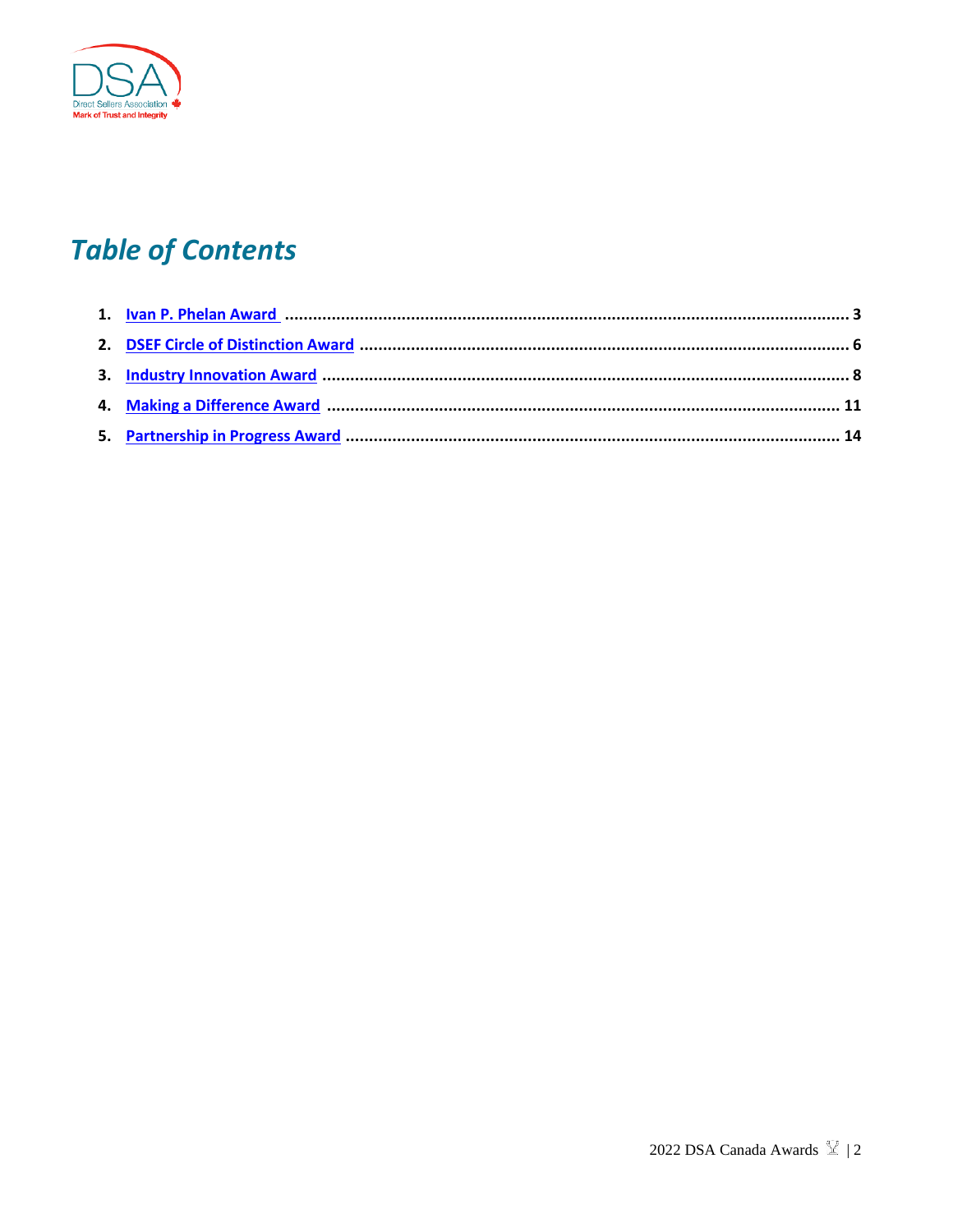

# **Table of Contents**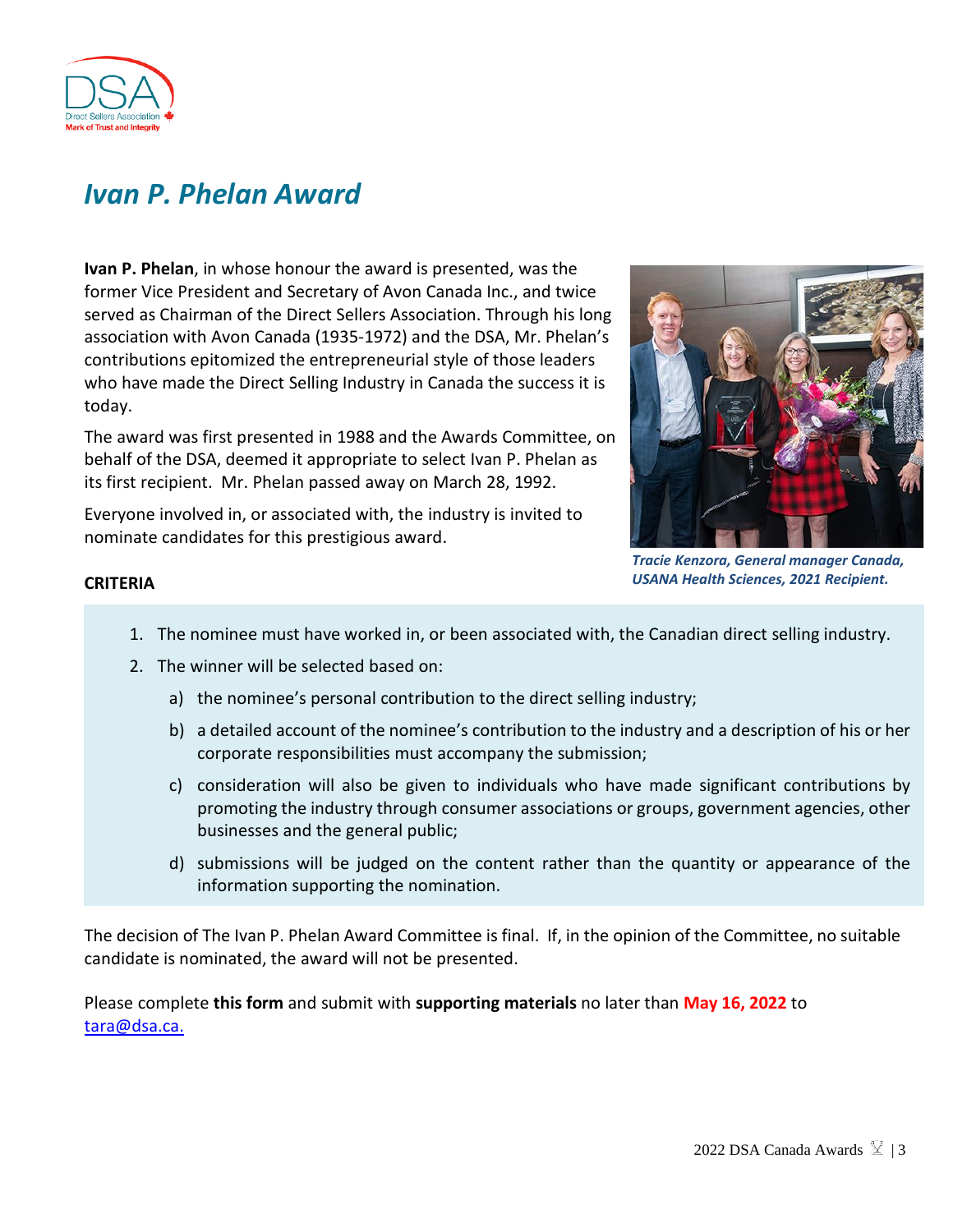

# *Ivan P. Phelan Award*

**Ivan P. Phelan**, in whose honour the award is presented, was the former Vice President and Secretary of Avon Canada Inc., and twice served as Chairman of the Direct Sellers Association. Through his long association with Avon Canada (1935-1972) and the DSA, Mr. Phelan's contributions epitomized the entrepreneurial style of those leaders who have made the Direct Selling Industry in Canada the success it is today.

The award was first presented in 1988 and the Awards Committee, on behalf of the DSA, deemed it appropriate to select Ivan P. Phelan as its first recipient. Mr. Phelan passed away on March 28, 1992.

Everyone involved in, or associated with, the industry is invited to nominate candidates for this prestigious award.



*Tracie Kenzora, General manager Canada, USANA Health Sciences, 2021 Recipient.*

### **CRITERIA**

- 1. The nominee must have worked in, or been associated with, the Canadian direct selling industry.
- 2. The winner will be selected based on:
	- a) the nominee's personal contribution to the direct selling industry;
	- b) a detailed account of the nominee's contribution to the industry and a description of his or her corporate responsibilities must accompany the submission;
	- c) consideration will also be given to individuals who have made significant contributions by promoting the industry through consumer associations or groups, government agencies, other businesses and the general public;
	- d) submissions will be judged on the content rather than the quantity or appearance of the information supporting the nomination.

The decision of The Ivan P. Phelan Award Committee is final. If, in the opinion of the Committee, no suitable candidate is nominated, the award will not be presented.

Please complete **this form** and submit with **supporting materials** no later than **May 16, 2022** to tara@dsa.ca.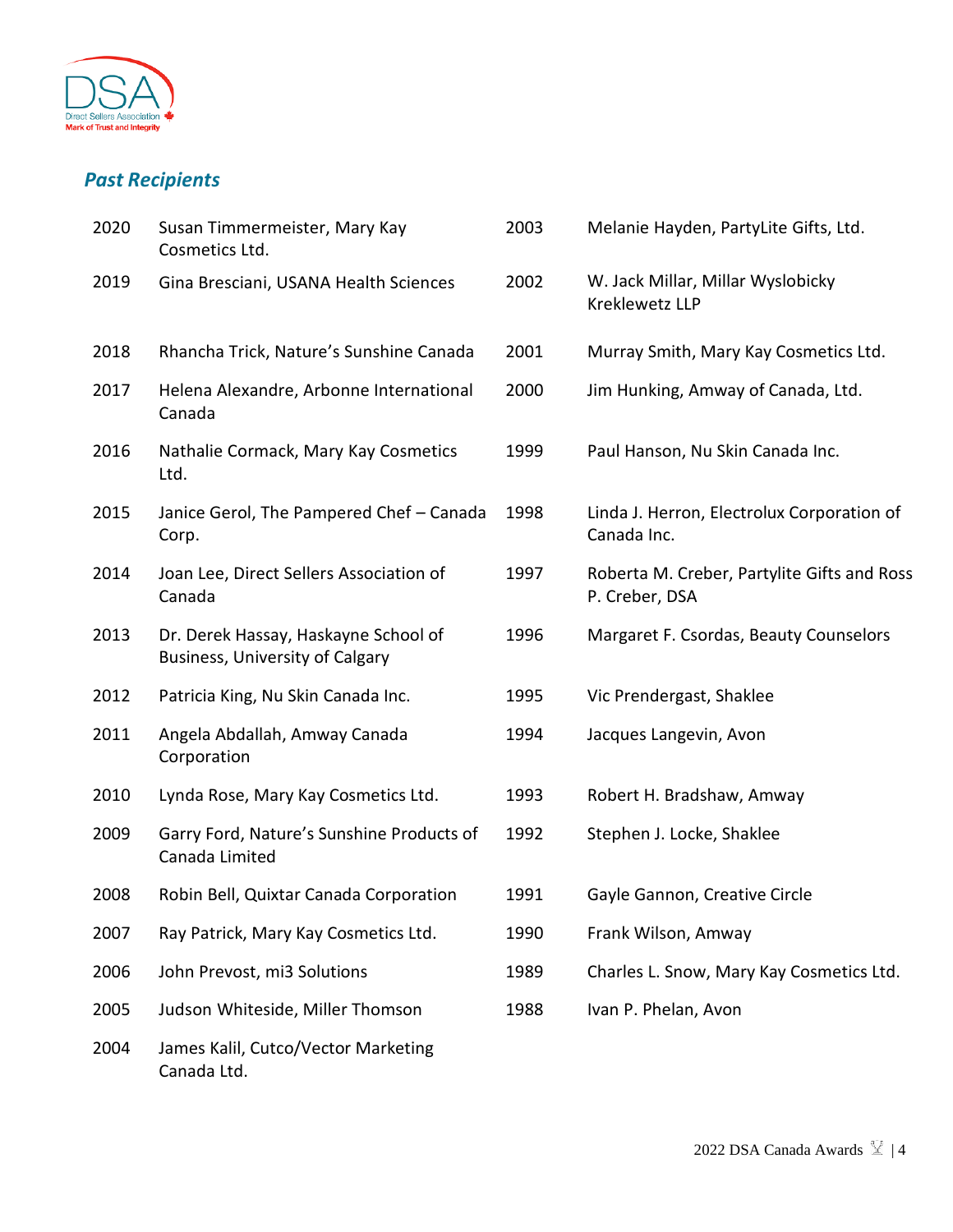

| 2020 | Susan Timmermeister, Mary Kay<br>Cosmetics Ltd.                                | 2003 | Melanie Hayden, PartyLite Gifts, Ltd.                         |
|------|--------------------------------------------------------------------------------|------|---------------------------------------------------------------|
| 2019 | Gina Bresciani, USANA Health Sciences                                          | 2002 | W. Jack Millar, Millar Wyslobicky<br>Kreklewetz LLP           |
| 2018 | Rhancha Trick, Nature's Sunshine Canada                                        | 2001 | Murray Smith, Mary Kay Cosmetics Ltd.                         |
| 2017 | Helena Alexandre, Arbonne International<br>Canada                              | 2000 | Jim Hunking, Amway of Canada, Ltd.                            |
| 2016 | Nathalie Cormack, Mary Kay Cosmetics<br>Ltd.                                   | 1999 | Paul Hanson, Nu Skin Canada Inc.                              |
| 2015 | Janice Gerol, The Pampered Chef - Canada<br>Corp.                              | 1998 | Linda J. Herron, Electrolux Corporation of<br>Canada Inc.     |
| 2014 | Joan Lee, Direct Sellers Association of<br>Canada                              | 1997 | Roberta M. Creber, Partylite Gifts and Ross<br>P. Creber, DSA |
| 2013 | Dr. Derek Hassay, Haskayne School of<br><b>Business, University of Calgary</b> | 1996 | Margaret F. Csordas, Beauty Counselors                        |
| 2012 | Patricia King, Nu Skin Canada Inc.                                             | 1995 | Vic Prendergast, Shaklee                                      |
| 2011 | Angela Abdallah, Amway Canada<br>Corporation                                   | 1994 | Jacques Langevin, Avon                                        |
| 2010 | Lynda Rose, Mary Kay Cosmetics Ltd.                                            | 1993 | Robert H. Bradshaw, Amway                                     |
| 2009 | Garry Ford, Nature's Sunshine Products of<br>Canada Limited                    | 1992 | Stephen J. Locke, Shaklee                                     |
| 2008 | Robin Bell, Quixtar Canada Corporation                                         | 1991 | Gayle Gannon, Creative Circle                                 |
| 2007 | Ray Patrick, Mary Kay Cosmetics Ltd.                                           | 1990 | Frank Wilson, Amway                                           |
| 2006 | John Prevost, mi3 Solutions                                                    | 1989 | Charles L. Snow, Mary Kay Cosmetics Ltd.                      |
| 2005 | Judson Whiteside, Miller Thomson                                               | 1988 | Ivan P. Phelan, Avon                                          |
| 2004 | James Kalil, Cutco/Vector Marketing<br>Canada Ltd.                             |      |                                                               |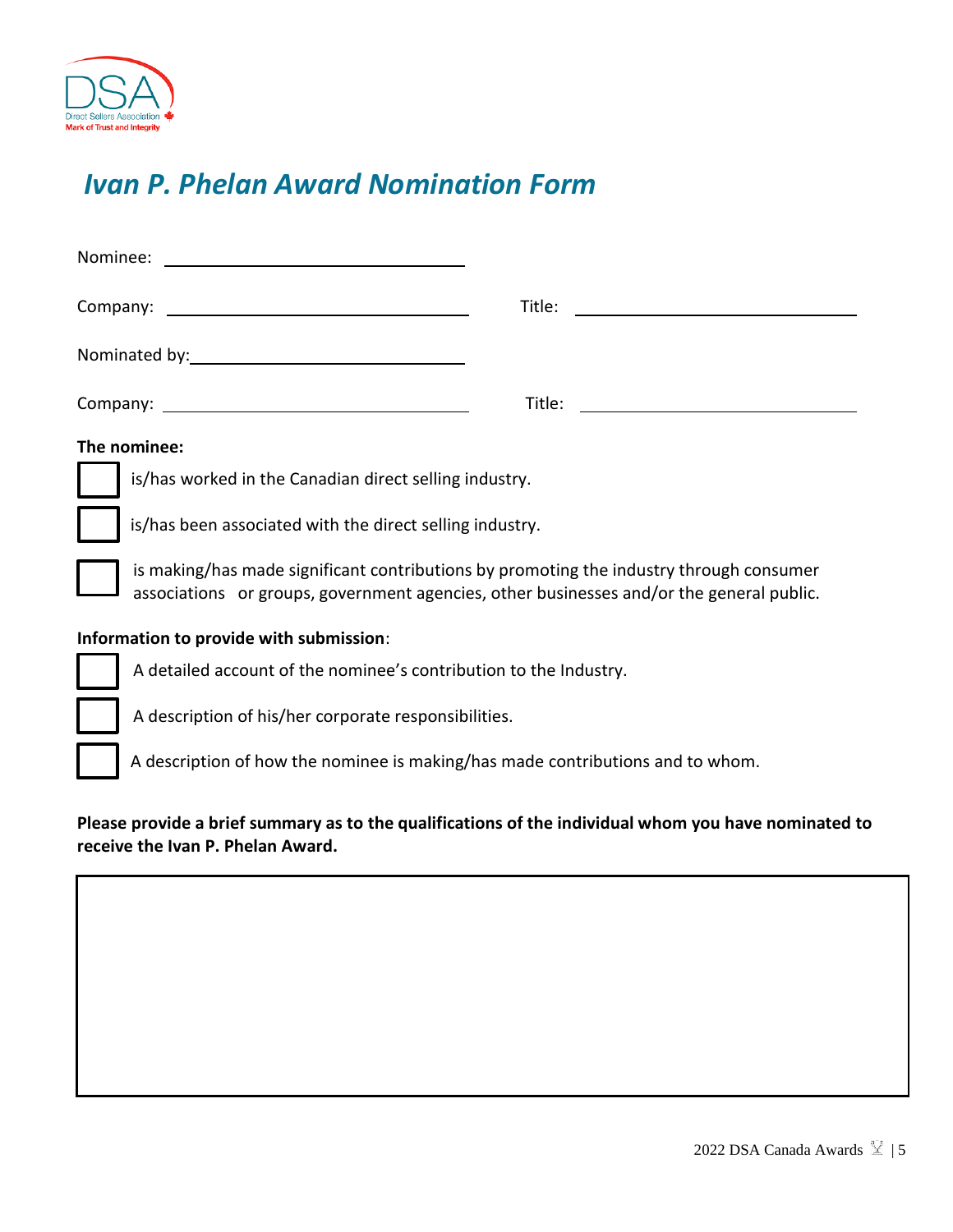

# *Ivan P. Phelan Award Nomination Form*

| Nominee:<br>the contract of the contract of the contract of the contract of the contract of the contract of the contract of                                                         |        |  |
|-------------------------------------------------------------------------------------------------------------------------------------------------------------------------------------|--------|--|
|                                                                                                                                                                                     | Title: |  |
|                                                                                                                                                                                     |        |  |
|                                                                                                                                                                                     | Title: |  |
| The nominee:                                                                                                                                                                        |        |  |
| is/has worked in the Canadian direct selling industry.                                                                                                                              |        |  |
| is/has been associated with the direct selling industry.                                                                                                                            |        |  |
| is making/has made significant contributions by promoting the industry through consumer<br>associations or groups, government agencies, other businesses and/or the general public. |        |  |
| Information to provide with submission:                                                                                                                                             |        |  |
| A detailed account of the nominee's contribution to the Industry.                                                                                                                   |        |  |
| A description of his/her corporate responsibilities.                                                                                                                                |        |  |
| A description of how the nominee is making/has made contributions and to whom.                                                                                                      |        |  |
| Please provide a brief summary as to the qualifications of the individual whom you have nominated to<br>receive the Ivan P. Phelan Award.                                           |        |  |

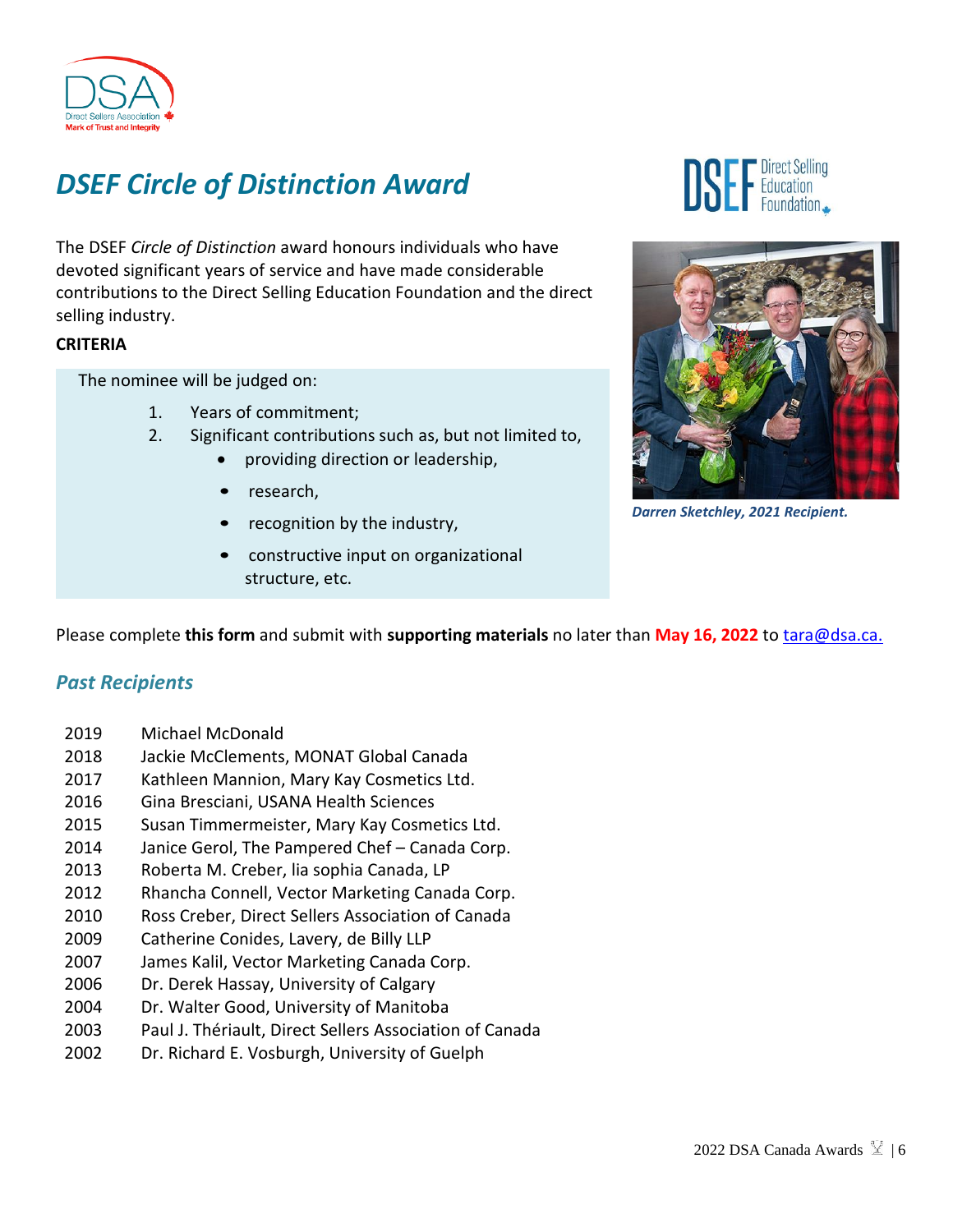

# *DSEF Circle of Distinction Award*

The DSEF *Circle of Distinction* award honours individuals who have devoted significant years of service and have made considerable contributions to the Direct Selling Education Foundation and the direct selling industry.

### **CRITERIA**

The nominee will be judged on:

- 1. Years of commitment;
- 2. Significant contributions such as, but not limited to,
	- providing direction or leadership,
	- research,
	- recognition by the industry,
	- constructive input on organizational structure, etc.





*Darren Sketchley, 2021 Recipient.*

Please complete **this form** and submit with **supporting materials** no later than **May 16, 2022** to tara@dsa.ca.

- 2019 Michael McDonald
- 2018 Jackie McClements, MONAT Global Canada
- 2017 Kathleen Mannion, Mary Kay Cosmetics Ltd.
- 2016 Gina Bresciani, USANA Health Sciences
- 2015 Susan Timmermeister, Mary Kay Cosmetics Ltd.
- 2014 Janice Gerol, The Pampered Chef Canada Corp.
- 2013 Roberta M. Creber, lia sophia Canada, LP
- 2012 Rhancha Connell, Vector Marketing Canada Corp.
- 2010 Ross Creber, Direct Sellers Association of Canada
- 2009 Catherine Conides, Lavery, de Billy LLP
- 2007 James Kalil, Vector Marketing Canada Corp.
- 2006 Dr. Derek Hassay, University of Calgary
- 2004 Dr. Walter Good, University of Manitoba
- 2003 Paul J. Thériault, Direct Sellers Association of Canada
- 2002 Dr. Richard E. Vosburgh, University of Guelph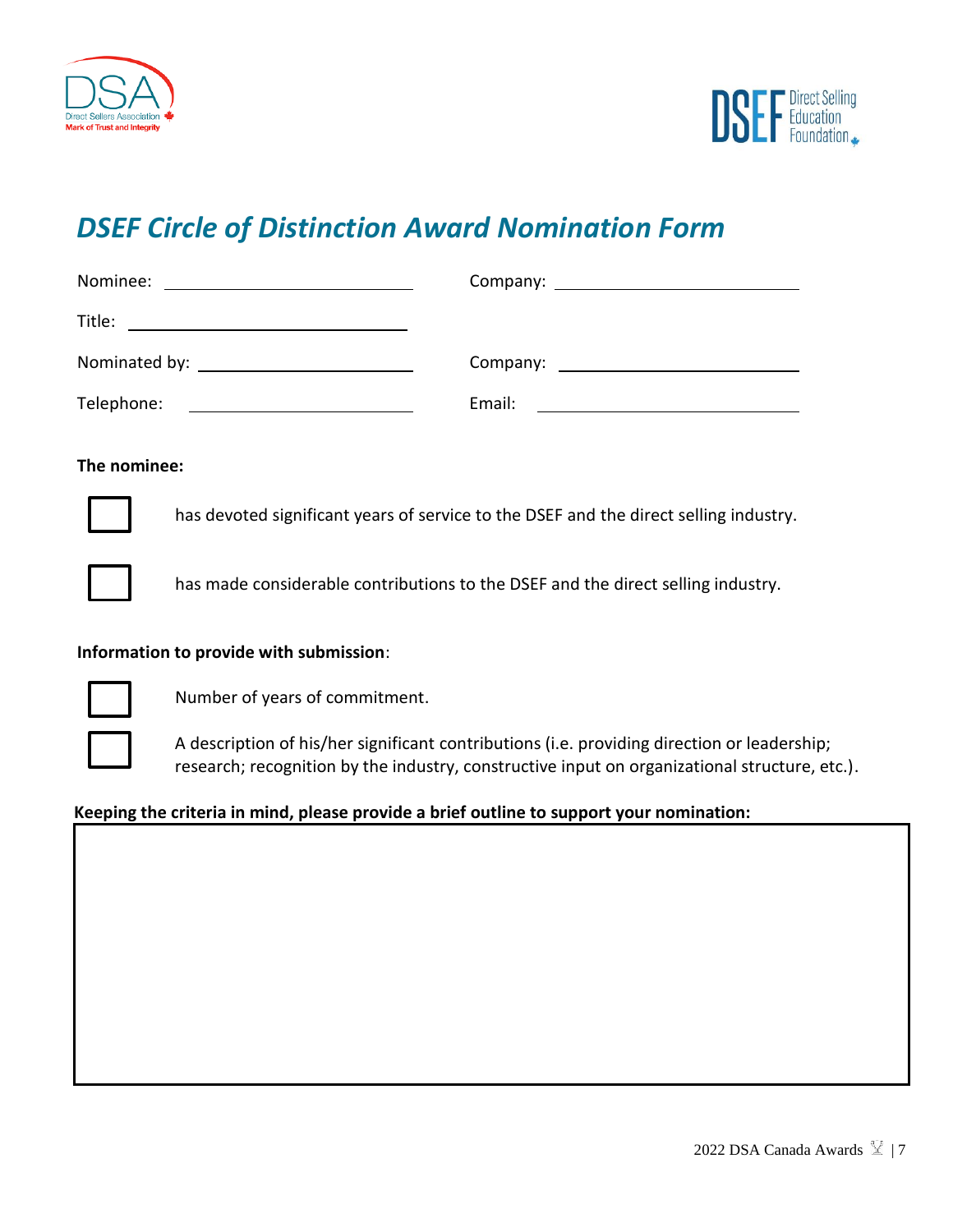



# *DSEF Circle of Distinction Award Nomination Form*

| Nominee:<br><u> Alexandria (h. 1888).</u> |                          |  |
|-------------------------------------------|--------------------------|--|
| Title:                                    |                          |  |
|                                           | Company: <u>company:</u> |  |
| Telephone:                                | Email:                   |  |

### **The nominee:**

has devoted significant years of service to the DSEF and the direct selling industry.

has made considerable contributions to the DSEF and the direct selling industry.

### **Information to provide with submission**:



Number of years of commitment.

A description of his/her significant contributions (i.e. providing direction or leadership; research; recognition by the industry, constructive input on organizational structure, etc.).

### **Keeping the criteria in mind, please provide a brief outline to support your nomination:**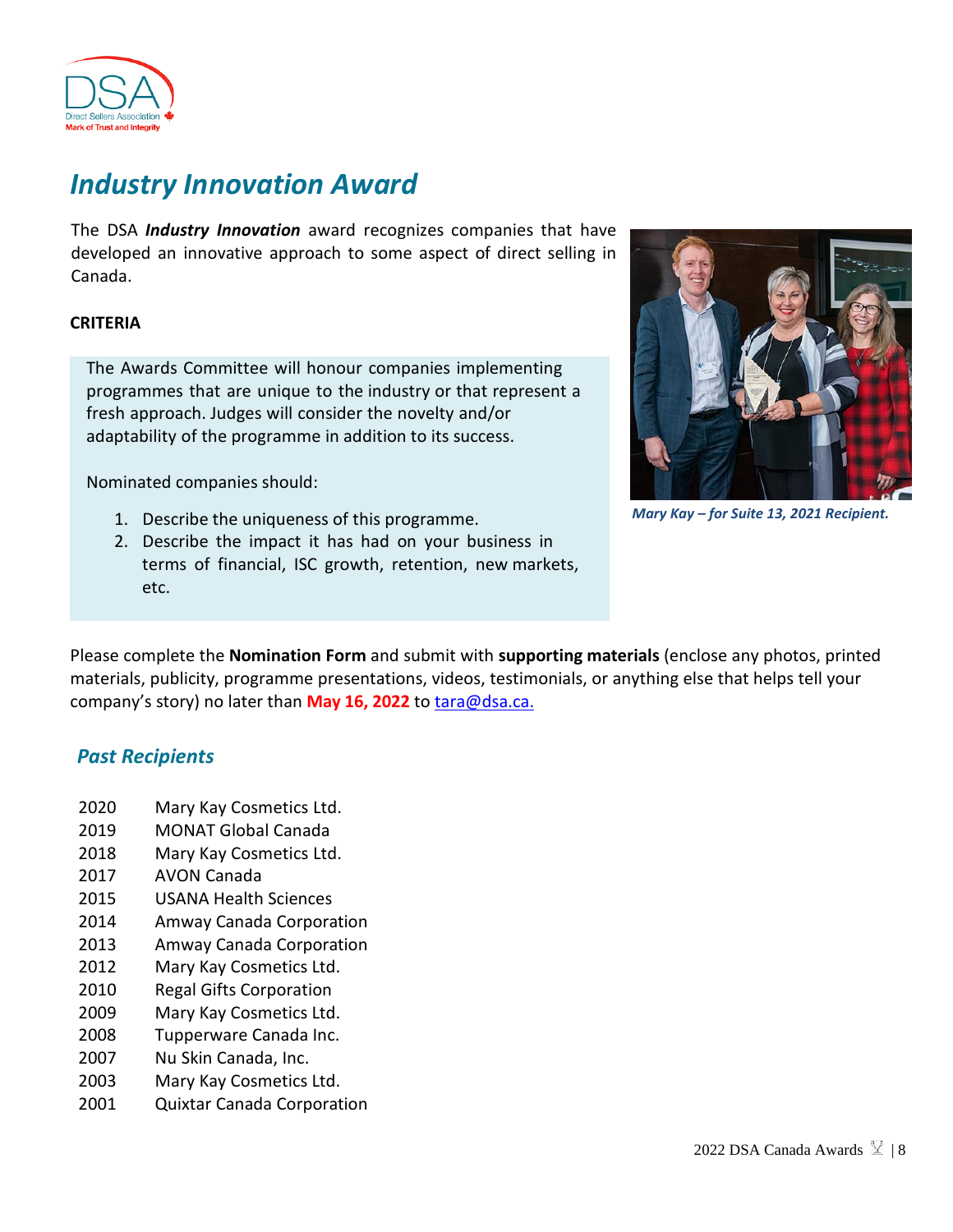

# *Industry Innovation Award*

The DSA *Industry Innovation* award recognizes companies that have developed an innovative approach to some aspect of direct selling in Canada.

### **CRITERIA**

The Awards Committee will honour companies implementing programmes that are unique to the industry or that represent a fresh approach. Judges will consider the novelty and/or adaptability of the programme in addition to its success.

Nominated companies should:

- 1. Describe the uniqueness of this programme.
- 2. Describe the impact it has had on your business in terms of financial, ISC growth, retention, new markets, etc.



*Mary Kay – for Suite 13, 2021 Recipient.*

Please complete the **Nomination Form** and submit with **supporting materials** (enclose any photos, printed materials, publicity, programme presentations, videos, testimonials, or anything else that helps tell your company's story) no later than **May 16, 2022** to tara@dsa.ca.

- 2020 Mary Kay Cosmetics Ltd.
- 2019 MONAT Global Canada
- 2018 Mary Kay Cosmetics Ltd.
- 2017 AVON Canada
- 2015 USANA Health Sciences
- 2014 Amway Canada Corporation
- 2013 Amway Canada Corporation
- 2012 Mary Kay Cosmetics Ltd.
- 2010 Regal Gifts Corporation
- 2009 Mary Kay Cosmetics Ltd.
- 2008 Tupperware Canada Inc.
- 2007 Nu Skin Canada, Inc.
- 2003 Mary Kay Cosmetics Ltd.
- 2001 Quixtar Canada Corporation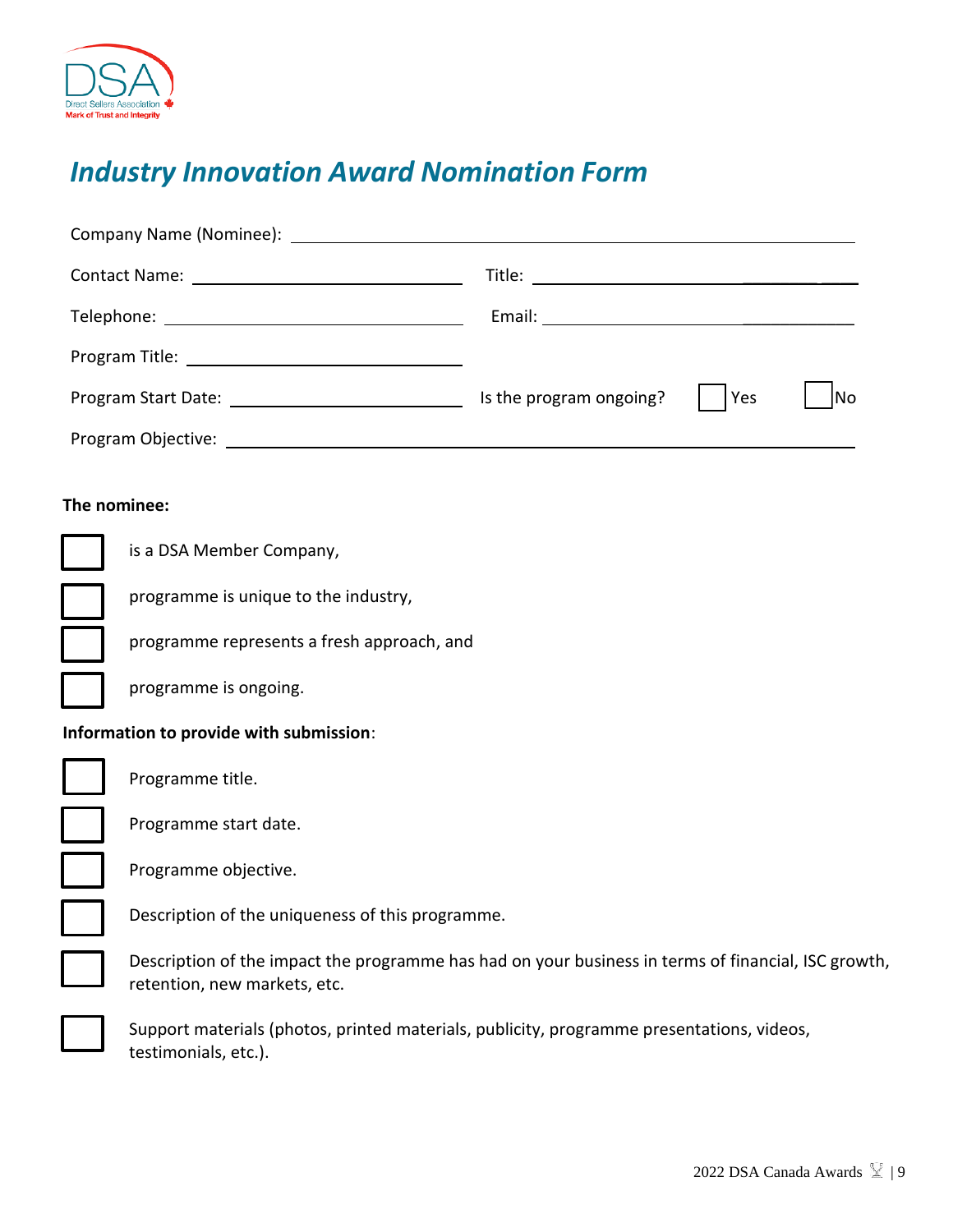

# *Industry Innovation Award Nomination Form*

| Is the program ongoing? | l Yes | <b>No</b> |
|-------------------------|-------|-----------|
|                         |       |           |

### **The nominee:**



is a DSA Member Company,

programme is unique to the industry,

programme represents a fresh approach, and



programme is ongoing.

### **Information to provide with submission**:



Programme title.



Programme start date.

Programme objective.

Description of the uniqueness of this programme.

Description of the impact the programme has had on your business in terms of financial, ISC growth, retention, new markets, etc.

Support materials (photos, printed materials, publicity, programme presentations, videos, testimonials, etc.).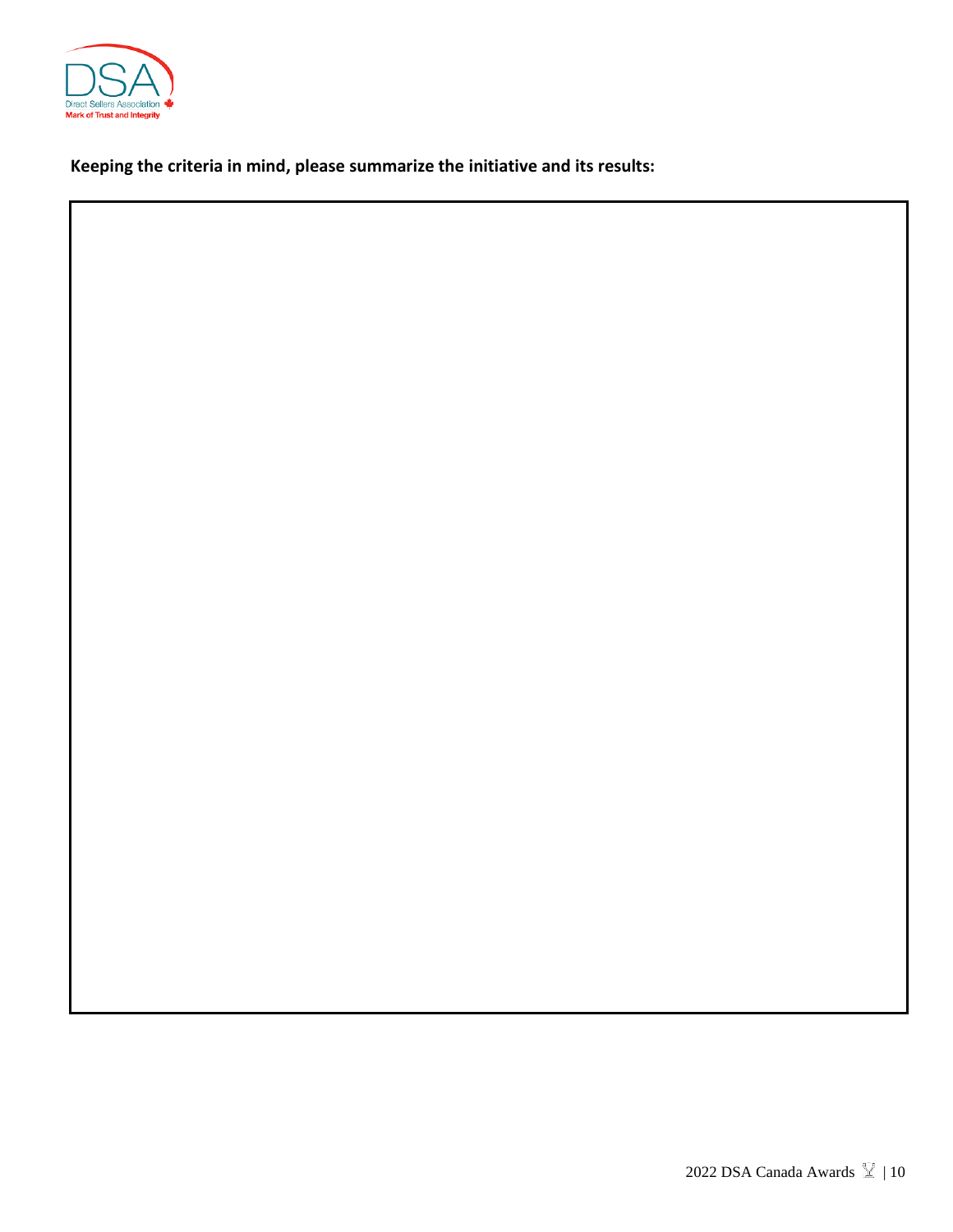

**Keeping the criteria in mind, please summarize the initiative and its results:**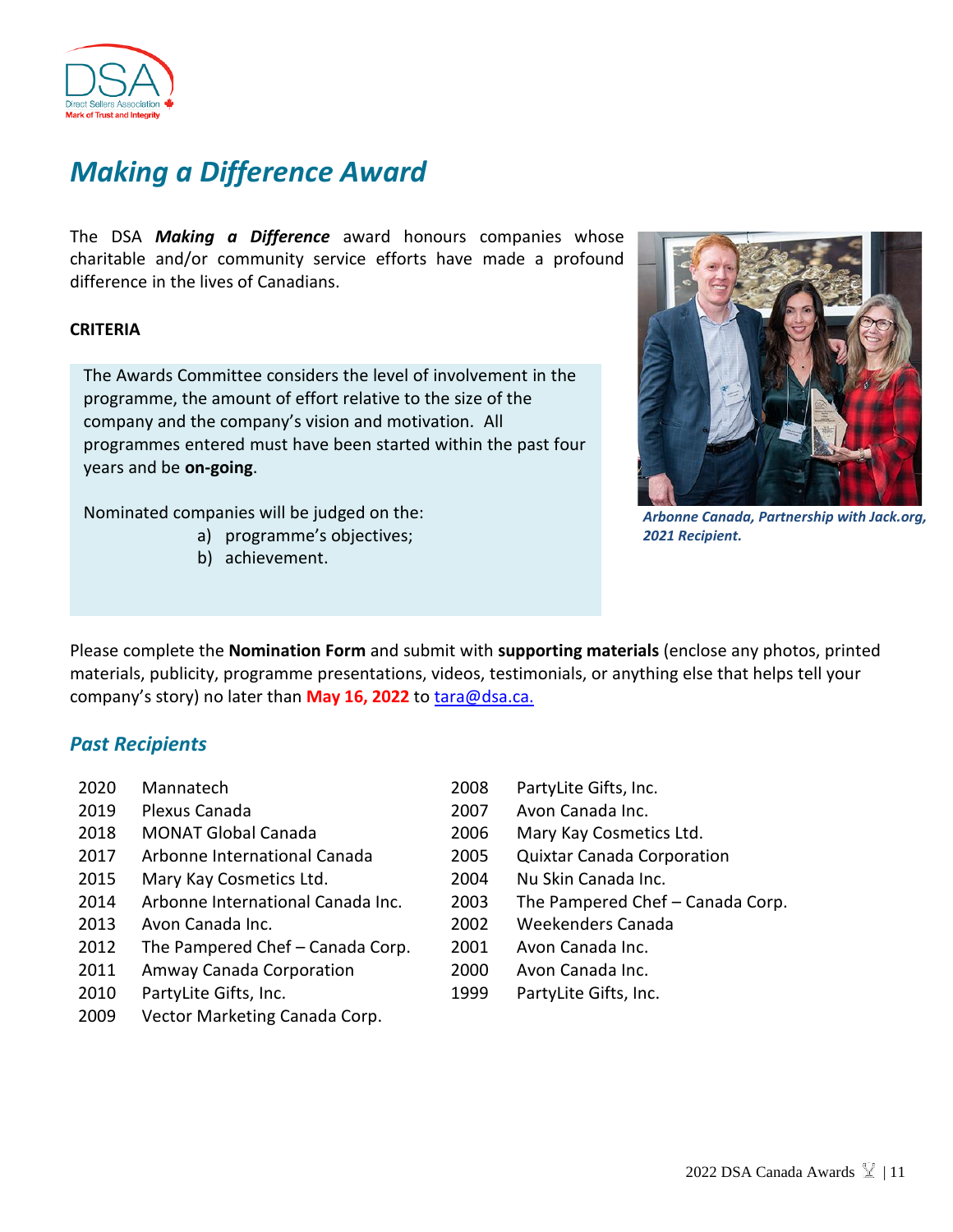

# *Making a Difference Award*

The DSA *Making a Difference* award honours companies whose charitable and/or community service efforts have made a profound difference in the lives of Canadians.

### **CRITERIA**

The Awards Committee considers the level of involvement in the programme, the amount of effort relative to the size of the company and the company's vision and motivation. All programmes entered must have been started within the past four years and be **on-going**.

Nominated companies will be judged on the:

- a) programme's objectives;
- b) achievement.



*Arbonne Canada, Partnership with Jack.org, 2021 Recipient.*

Please complete the **Nomination Form** and submit with **supporting materials** (enclose any photos, printed materials, publicity, programme presentations, videos, testimonials, or anything else that helps tell your company's story) no later than **May 16, 2022** to tara@dsa.ca.

- 2020 Mannatech
- 2019 Plexus Canada
- 2018 MONAT Global Canada
- 2017 Arbonne International Canada
- 2015 Mary Kay Cosmetics Ltd.
- 2014 Arbonne International Canada Inc.
- 
- 2012 The Pampered Chef Canada Corp. 2001 Avon Canada Inc.
- 2011 Amway Canada Corporation 2000 Avon Canada Inc.
- 
- 2009 Vector Marketing Canada Corp.
- 2008 PartyLite Gifts, Inc.
- 2007 Avon Canada Inc.
- 2006 Mary Kay Cosmetics Ltd.
	- 2005 Quixtar Canada Corporation
		- 2004 Nu Skin Canada Inc.
		- 2003 The Pampered Chef – Canada Corp.
- 2013 Avon Canada Inc. 2002 Weekenders Canada
	-
	-
- 2010 PartyLite Gifts, Inc. 1999 PartyLite Gifts, Inc.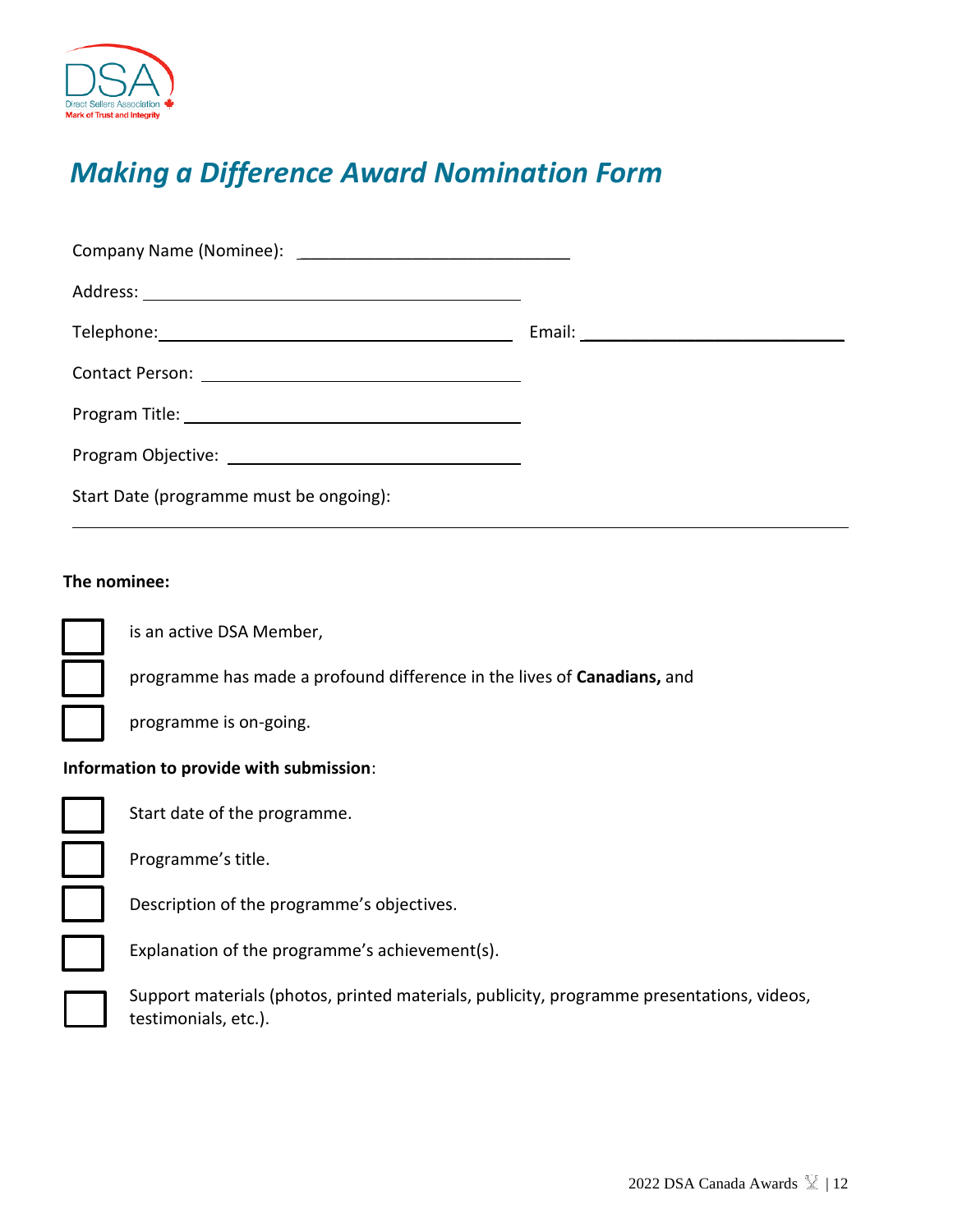

# *Making a Difference Award Nomination Form*

| Start Date (programme must be ongoing): |  |  |
|-----------------------------------------|--|--|

### **The nominee:**

is an active DSA Member,

programme has made a profound difference in the lives of **Canadians,** and

programme is on-going.

### **Information to provide with submission**:



Start date of the programme.

Programme's title.

Description of the programme's objectives.

Explanation of the programme's achievement(s).

Support materials (photos, printed materials, publicity, programme presentations, videos, testimonials, etc.).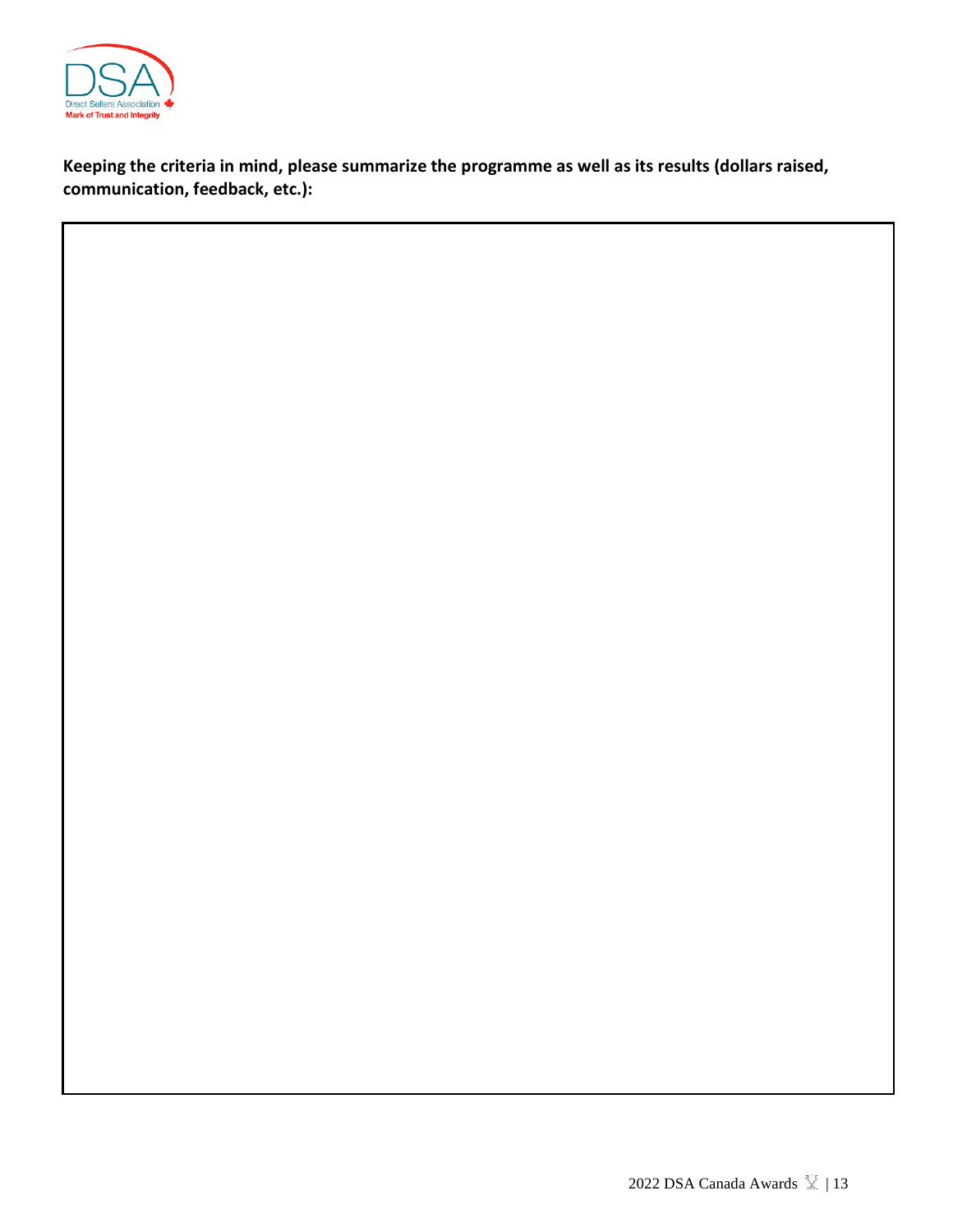

**Keeping the criteria in mind, please summarize the programme as well as its results (dollars raised, communication, feedback, etc.):**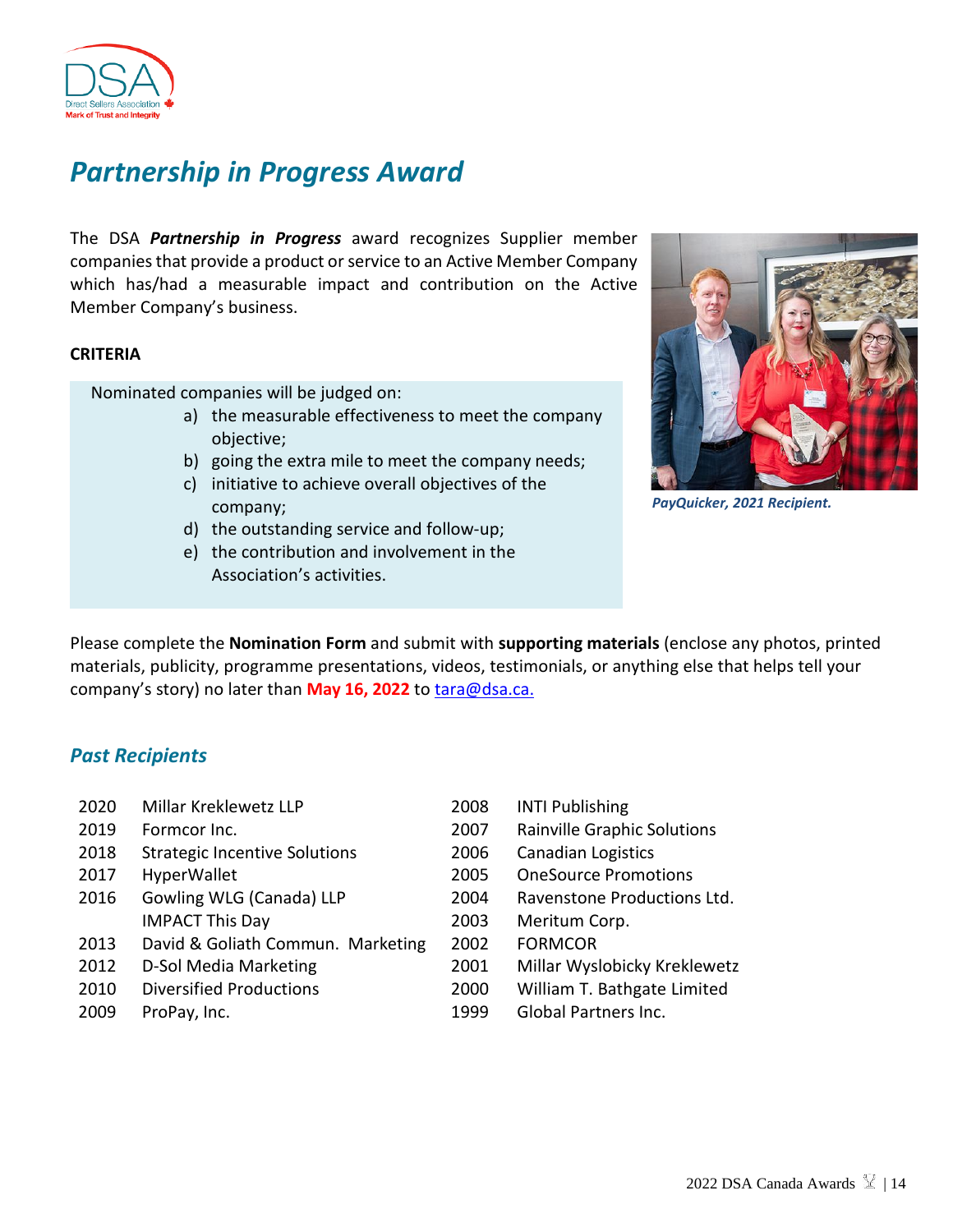

# *Partnership in Progress Award*

The DSA *Partnership in Progress* award recognizes Supplier member companies that provide a product or service to an Active Member Company which has/had a measurable impact and contribution on the Active Member Company's business.

### **CRITERIA**

Nominated companies will be judged on:

- a) the measurable effectiveness to meet the company objective;
- b) going the extra mile to meet the company needs;
- c) initiative to achieve overall objectives of the company;
- d) the outstanding service and follow-up;
- e) the contribution and involvement in the Association's activities.



*PayQuicker, 2021 Recipient.*

Please complete the **Nomination Form** and submit with **supporting materials** (enclose any photos, printed materials, publicity, programme presentations, videos, testimonials, or anything else that helps tell your company's story) no later than **May 16, 2022** to tara@dsa.ca.

| 2020 | Millar Kreklewetz LLP                | 2008 | <b>INTI Publishing</b>             |
|------|--------------------------------------|------|------------------------------------|
| 2019 | Formcor Inc.                         | 2007 | <b>Rainville Graphic Solutions</b> |
| 2018 | <b>Strategic Incentive Solutions</b> | 2006 | <b>Canadian Logistics</b>          |
| 2017 | <b>HyperWallet</b>                   | 2005 | <b>OneSource Promotions</b>        |
| 2016 | Gowling WLG (Canada) LLP             | 2004 | Ravenstone Productions Ltd.        |
|      | <b>IMPACT This Day</b>               | 2003 | Meritum Corp.                      |
| 2013 | David & Goliath Commun. Marketing    | 2002 | <b>FORMCOR</b>                     |
| 2012 | D-Sol Media Marketing                | 2001 | Millar Wyslobicky Kreklewetz       |
| 2010 | <b>Diversified Productions</b>       | 2000 | William T. Bathgate Limited        |
| 2009 | ProPay, Inc.                         | 1999 | Global Partners Inc.               |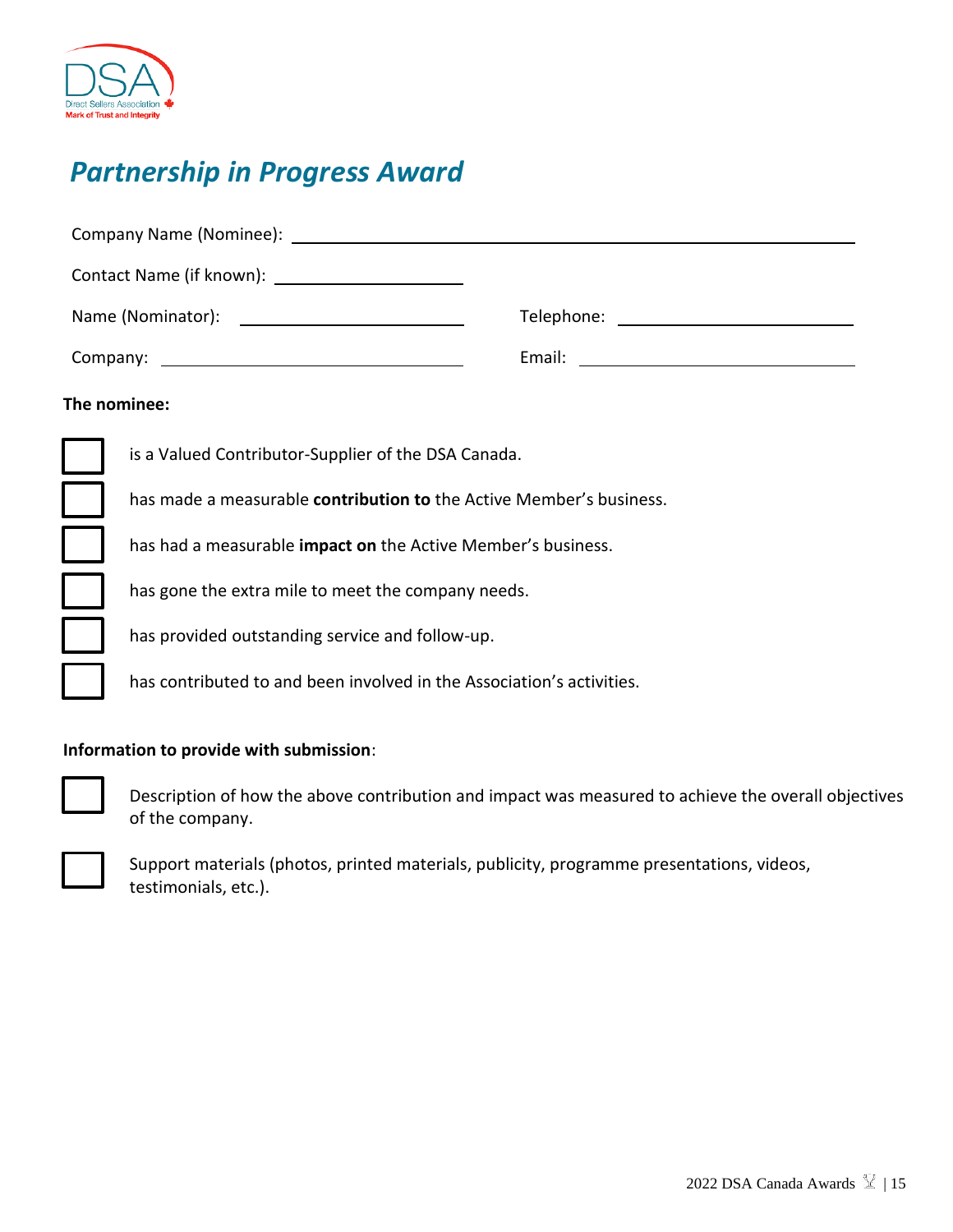

# *Partnership in Progress Award*

| Company Name (Nominee): Laterature and the company Name (Nominee): |                                                                       |  |  |  |
|--------------------------------------------------------------------|-----------------------------------------------------------------------|--|--|--|
|                                                                    |                                                                       |  |  |  |
|                                                                    |                                                                       |  |  |  |
|                                                                    |                                                                       |  |  |  |
| The nominee:                                                       |                                                                       |  |  |  |
|                                                                    | is a Valued Contributor-Supplier of the DSA Canada.                   |  |  |  |
|                                                                    | has made a measurable contribution to the Active Member's business.   |  |  |  |
|                                                                    | has had a measurable impact on the Active Member's business.          |  |  |  |
|                                                                    | has gone the extra mile to meet the company needs.                    |  |  |  |
|                                                                    | has provided outstanding service and follow-up.                       |  |  |  |
|                                                                    | has contributed to and been involved in the Association's activities. |  |  |  |
|                                                                    |                                                                       |  |  |  |

## **Information to provide with submission**:



Description of how the above contribution and impact was measured to achieve the overall objectives of the company.



Support materials (photos, printed materials, publicity, programme presentations, videos, testimonials, etc.).